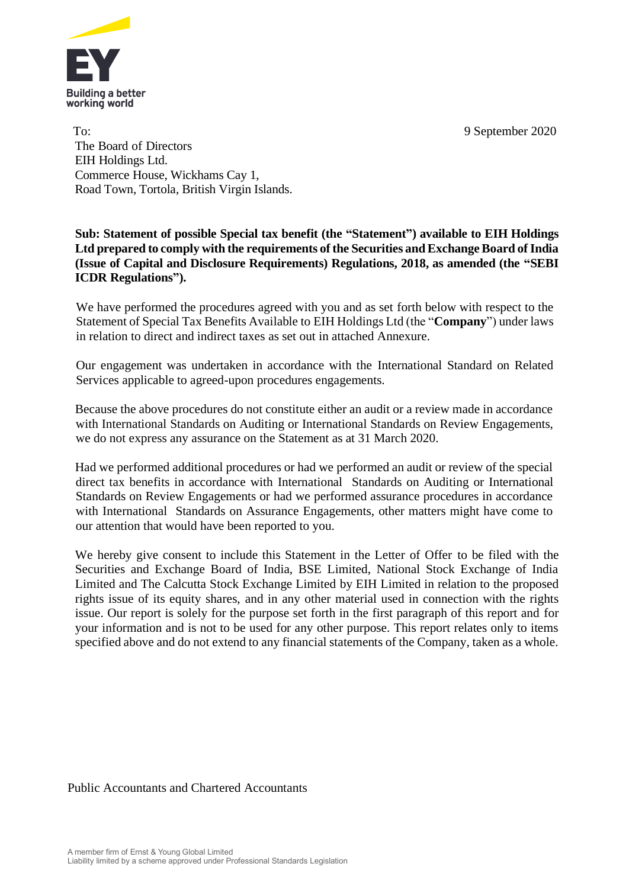

To: 9 September 2020 The Board of Directors EIH Holdings Ltd. Commerce House, Wickhams Cay 1, Road Town, Tortola, British Virgin Islands.

## **Sub: Statement of possible Special tax benefit (the "Statement") available to EIH Holdings Ltd prepared to comply with the requirements of the Securities and Exchange Board of India (Issue of Capital and Disclosure Requirements) Regulations, 2018, as amended (the "SEBI ICDR Regulations").**

We have performed the procedures agreed with you and as set forth below with respect to the Statement of Special Tax Benefits Available to EIH Holdings Ltd (the "**Company**") under laws in relation to direct and indirect taxes as set out in attached Annexure.

Our engagement was undertaken in accordance with the International Standard on Related Services applicable to agreed-upon procedures engagements.

Because the above procedures do not constitute either an audit or a review made in accordance with International Standards on Auditing or International Standards on Review Engagements, we do not express any assurance on the Statement as at 31 March 2020.

Had we performed additional procedures or had we performed an audit or review of the special direct tax benefits in accordance with International Standards on Auditing or International Standards on Review Engagements or had we performed assurance procedures in accordance with International Standards on Assurance Engagements, other matters might have come to our attention that would have been reported to you.

We hereby give consent to include this Statement in the Letter of Offer to be filed with the Securities and Exchange Board of India, BSE Limited, National Stock Exchange of India Limited and The Calcutta Stock Exchange Limited by EIH Limited in relation to the proposed rights issue of its equity shares, and in any other material used in connection with the rights issue. Our report is solely for the purpose set forth in the first paragraph of this report and for your information and is not to be used for any other purpose. This report relates only to items specified above and do not extend to any financial statements of the Company, taken as a whole.

Public Accountants and Chartered Accountants